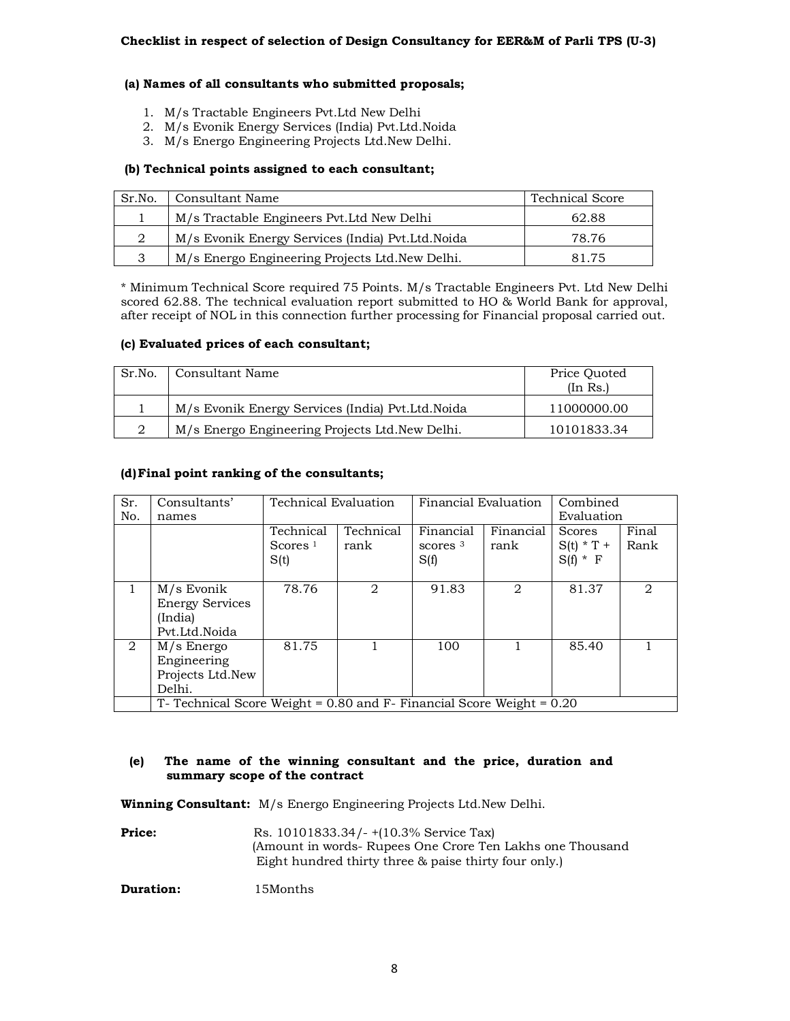# **(a) Names of all consultants who submitted proposals;**

- 1. M/s Tractable Engineers Pvt.Ltd New Delhi
- 2. M/s Evonik Energy Services (India) Pvt.Ltd.Noida
- 3. M/s Energo Engineering Projects Ltd.New Delhi.

# **(b) Technical points assigned to each consultant;**

| Sr.No.       | Consultant Name                                    | <b>Technical Score</b> |
|--------------|----------------------------------------------------|------------------------|
|              | M/s Tractable Engineers Pvt. Ltd New Delhi         | 62.88                  |
|              | M/s Evonik Energy Services (India) Pvt. Ltd. Noida | 78.76                  |
| $\mathbf{P}$ | M/s Energo Engineering Projects Ltd. New Delhi.    | 81.75                  |

\* Minimum Technical Score required 75 Points. M/s Tractable Engineers Pvt. Ltd New Delhi scored 62.88. The technical evaluation report submitted to HO & World Bank for approval, after receipt of NOL in this connection further processing for Financial proposal carried out.

# **(c) Evaluated prices of each consultant;**

| Sr.No. | Consultant Name                                    | Price Ouoted<br>(In Rs.) |
|--------|----------------------------------------------------|--------------------------|
|        | M/s Evonik Energy Services (India) Pvt. Ltd. Noida | 11000000.00              |
|        | M/s Energo Engineering Projects Ltd. New Delhi.    | 10101833.34              |

# **(d)Final point ranking of the consultants;**

| Sr.<br>No.   | Consultants'<br>names                                                     | Technical Evaluation            |                   | Financial Evaluation            |                   | Combined<br>Evaluation               |                             |
|--------------|---------------------------------------------------------------------------|---------------------------------|-------------------|---------------------------------|-------------------|--------------------------------------|-----------------------------|
|              |                                                                           | Technical<br>Scores $1$<br>S(t) | Technical<br>rank | Financial<br>scores $3$<br>S(f) | Financial<br>rank | Scores<br>$S(t) * T +$<br>$S(f) * F$ | Final<br>Rank               |
| $\mathbf{1}$ | M/s Evonik<br><b>Energy Services</b><br>(India)<br>Pyt.Ltd.Noida          | 78.76                           | 2                 | 91.83                           | $\overline{2}$    | 81.37                                | $\mathcal{D}_{\mathcal{L}}$ |
| 2            | $M/s$ Energo<br>Engineering<br>Projects Ltd.New<br>Delhi.                 | 81.75                           |                   | 100                             |                   | 85.40                                |                             |
|              | T- Technical Score Weight = $0.80$ and F- Financial Score Weight = $0.20$ |                                 |                   |                                 |                   |                                      |                             |

#### **(e) The name of the winning consultant and the price, duration and summary scope of the contract**

**Winning Consultant:** M/s Energo Engineering Projects Ltd.New Delhi.

**Price:** Rs. 10101833.34/- +(10.3% Service Tax) (Amount in words- Rupees One Crore Ten Lakhs one Thousand Eight hundred thirty three & paise thirty four only.)

**Duration:** 15Months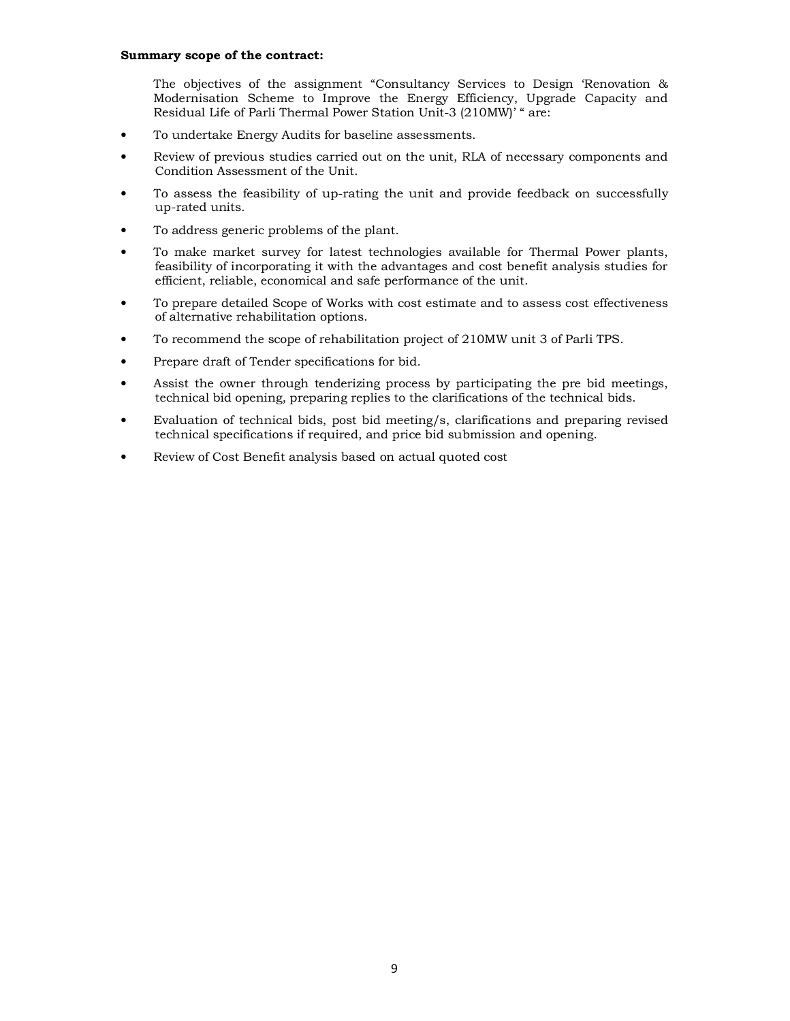### **Summary scope of the contract:**

The objectives of the assignment "Consultancy Services to Design 'Renovation & Modernisation Scheme to Improve the Energy Efficiency, Upgrade Capacity and Residual Life of Parli Thermal Power Station Unit-3 (210MW)' " are:

- To undertake Energy Audits for baseline assessments.
- Review of previous studies carried out on the unit, RLA of necessary components and Condition Assessment of the Unit.
- To assess the feasibility of up-rating the unit and provide feedback on successfully up-rated units.
- To address generic problems of the plant.
- To make market survey for latest technologies available for Thermal Power plants, feasibility of incorporating it with the advantages and cost benefit analysis studies for efficient, reliable, economical and safe performance of the unit.
- To prepare detailed Scope of Works with cost estimate and to assess cost effectiveness of alternative rehabilitation options.
- To recommend the scope of rehabilitation project of 210MW unit 3 of Parli TPS.
- Prepare draft of Tender specifications for bid.
- Assist the owner through tenderizing process by participating the pre bid meetings, technical bid opening, preparing replies to the clarifications of the technical bids.
- Evaluation of technical bids, post bid meeting/s, clarifications and preparing revised technical specifications if required, and price bid submission and opening.
- Review of Cost Benefit analysis based on actual quoted cost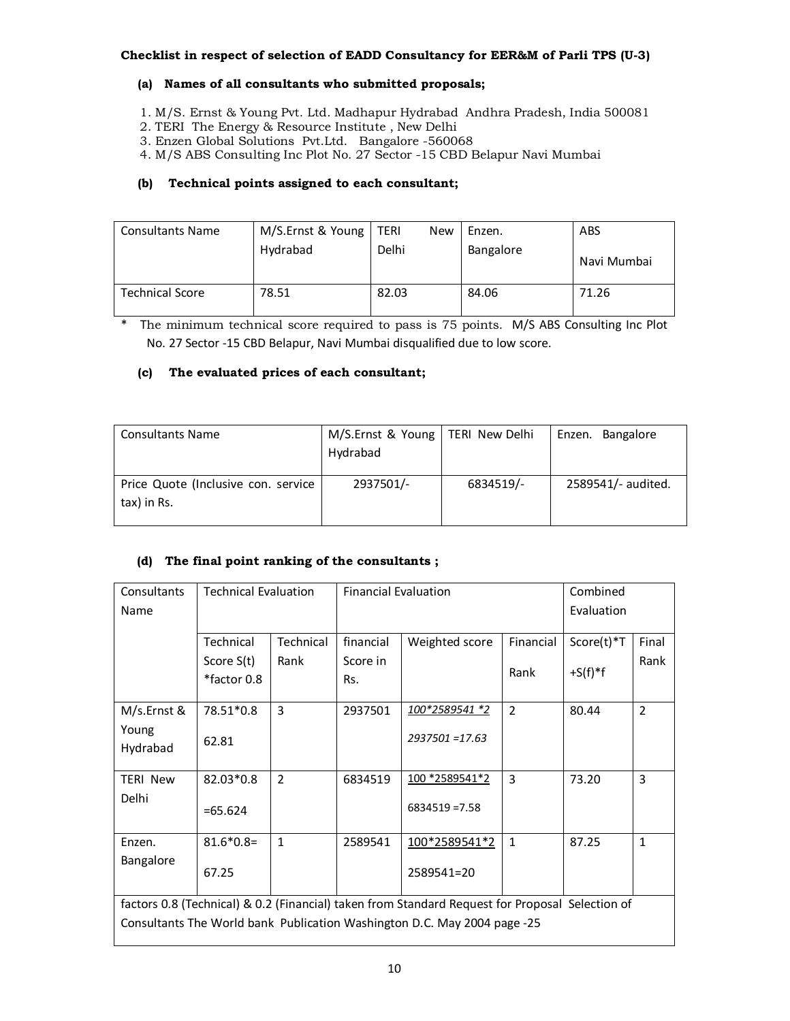# **Checklist in respect of selection of EADD Consultancy for EER&M of Parli TPS (U-3)**

## **(a) Names of all consultants who submitted proposals;**

- 1. M/S. Ernst & Young Pvt. Ltd. Madhapur Hydrabad Andhra Pradesh, India 500081
- 2. TERI The Energy & Resource Institute , New Delhi
- 3. Enzen Global Solutions Pvt.Ltd. Bangalore -560068
- 4. M/S ABS Consulting Inc Plot No. 27 Sector -15 CBD Belapur Navi Mumbai

# **(b) Technical points assigned to each consultant;**

| <b>Consultants Name</b> | M/S.Ernst & Young | i TERI<br><b>New</b> | Enzen.    | ABS         |
|-------------------------|-------------------|----------------------|-----------|-------------|
|                         | Hydrabad          | Delhi                | Bangalore | Navi Mumbai |
| <b>Technical Score</b>  | 78.51             | 82.03                | 84.06     | 71.26       |

\* The minimum technical score required to pass is 75 points. M/S ABS Consulting Inc Plot No. 27 Sector -15 CBD Belapur, Navi Mumbai disqualified due to low score.

# **(c) The evaluated prices of each consultant;**

| <b>Consultants Name</b>                            | M/S.Ernst & Young   TERI New Delhi<br>Hydrabad |           | Enzen. Bangalore   |
|----------------------------------------------------|------------------------------------------------|-----------|--------------------|
| Price Quote (Inclusive con. service<br>tax) in Rs. | 2937501/-                                      | 6834519/- | 2589541/- audited. |

# **(d) The final point ranking of the consultants ;**

| Consultants                                                                                     | <b>Technical Evaluation</b> |                | <b>Financial Evaluation</b> |                       |                | Combined   |                |
|-------------------------------------------------------------------------------------------------|-----------------------------|----------------|-----------------------------|-----------------------|----------------|------------|----------------|
| Name                                                                                            |                             |                |                             |                       |                | Evaluation |                |
|                                                                                                 |                             |                |                             |                       |                |            |                |
|                                                                                                 | Technical                   | Technical      | financial                   | Weighted score        | Financial      | Score(t)*T | Final          |
|                                                                                                 | Score S(t)                  | Rank           | Score in                    |                       |                |            | Rank           |
|                                                                                                 | *factor 0.8                 |                | Rs.                         |                       | Rank           | $+S(f)*f$  |                |
|                                                                                                 |                             |                |                             |                       |                |            |                |
| M/s.Ernst &                                                                                     | 78.51*0.8                   | 3              | 2937501                     | 100*2589541 *2        | $\overline{2}$ | 80.44      | $\overline{2}$ |
| Young                                                                                           |                             |                |                             | 2937501 = 17.63       |                |            |                |
| Hydrabad                                                                                        | 62.81                       |                |                             |                       |                |            |                |
|                                                                                                 |                             |                |                             |                       |                |            |                |
| <b>TERI New</b>                                                                                 | 82.03*0.8                   | $\overline{2}$ | 6834519                     | <u>100 *2589541*2</u> | 3              | 73.20      | 3              |
| Delhi                                                                                           |                             |                |                             | $6834519 = 7.58$      |                |            |                |
|                                                                                                 | $=65.624$                   |                |                             |                       |                |            |                |
| Enzen.                                                                                          | $81.6*0.8=$                 | $\mathbf{1}$   | 2589541                     | 100*2589541*2         | $\mathbf{1}$   | 87.25      | $\mathbf{1}$   |
| Bangalore                                                                                       |                             |                |                             |                       |                |            |                |
|                                                                                                 | 67.25                       |                |                             | 2589541=20            |                |            |                |
|                                                                                                 |                             |                |                             |                       |                |            |                |
| factors 0.8 (Technical) & 0.2 (Financial) taken from Standard Request for Proposal Selection of |                             |                |                             |                       |                |            |                |
| Consultants The World bank Publication Washington D.C. May 2004 page -25                        |                             |                |                             |                       |                |            |                |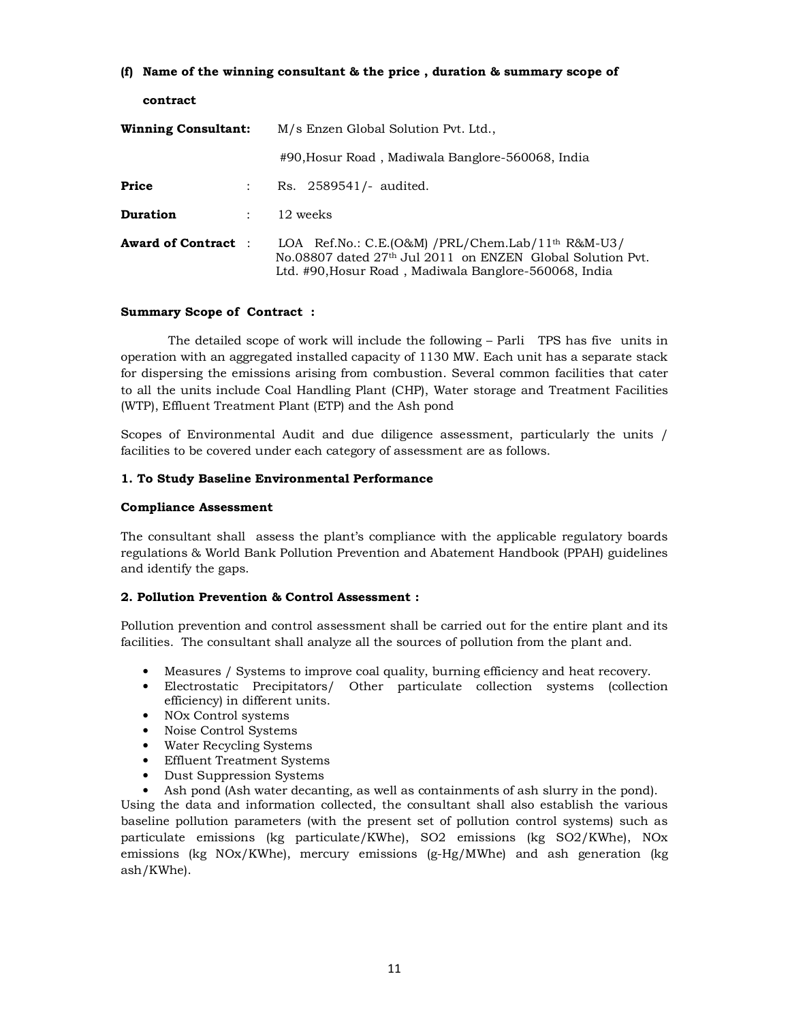## **(f) Name of the winning consultant & the price , duration & summary scope of**

**contract** 

| <b>Winning Consultant:</b> |                      | M/s Enzen Global Solution Pvt. Ltd.,                                                                                                                                                             |  |  |  |
|----------------------------|----------------------|--------------------------------------------------------------------------------------------------------------------------------------------------------------------------------------------------|--|--|--|
|                            |                      | #90, Hosur Road, Madiwala Banglore-560068, India                                                                                                                                                 |  |  |  |
| Price                      |                      | Rs. 2589541/- audited.                                                                                                                                                                           |  |  |  |
| <b>Duration</b>            | $\ddot{\phantom{0}}$ | 12 weeks                                                                                                                                                                                         |  |  |  |
| <b>Award of Contract</b> : |                      | LOA Ref.No.: C.E.(O&M) /PRL/Chem.Lab/11 <sup>th</sup> R&M-U3/<br>No.08807 dated 27 <sup>th</sup> Jul 2011 on ENZEN Global Solution Pyt.<br>Ltd. #90, Hosur Road, Madiwala Banglore-560068, India |  |  |  |

## **Summary Scope of Contract :**

 The detailed scope of work will include the following – Parli TPS has five units in operation with an aggregated installed capacity of 1130 MW. Each unit has a separate stack for dispersing the emissions arising from combustion. Several common facilities that cater to all the units include Coal Handling Plant (CHP), Water storage and Treatment Facilities (WTP), Effluent Treatment Plant (ETP) and the Ash pond

Scopes of Environmental Audit and due diligence assessment, particularly the units / facilities to be covered under each category of assessment are as follows.

## **1. To Study Baseline Environmental Performance**

## **Compliance Assessment**

The consultant shall assess the plant's compliance with the applicable regulatory boards regulations & World Bank Pollution Prevention and Abatement Handbook (PPAH) guidelines and identify the gaps.

#### **2. Pollution Prevention & Control Assessment :**

Pollution prevention and control assessment shall be carried out for the entire plant and its facilities. The consultant shall analyze all the sources of pollution from the plant and.

- Measures / Systems to improve coal quality, burning efficiency and heat recovery.
- Electrostatic Precipitators/ Other particulate collection systems (collection efficiency) in different units.
- NOx Control systems
- Noise Control Systems
- Water Recycling Systems
- Effluent Treatment Systems
- Dust Suppression Systems
- Ash pond (Ash water decanting, as well as containments of ash slurry in the pond).

Using the data and information collected, the consultant shall also establish the various baseline pollution parameters (with the present set of pollution control systems) such as particulate emissions (kg particulate/KWhe), SO2 emissions (kg SO2/KWhe), NOx emissions (kg NOx/KWhe), mercury emissions (g-Hg/MWhe) and ash generation (kg ash/KWhe).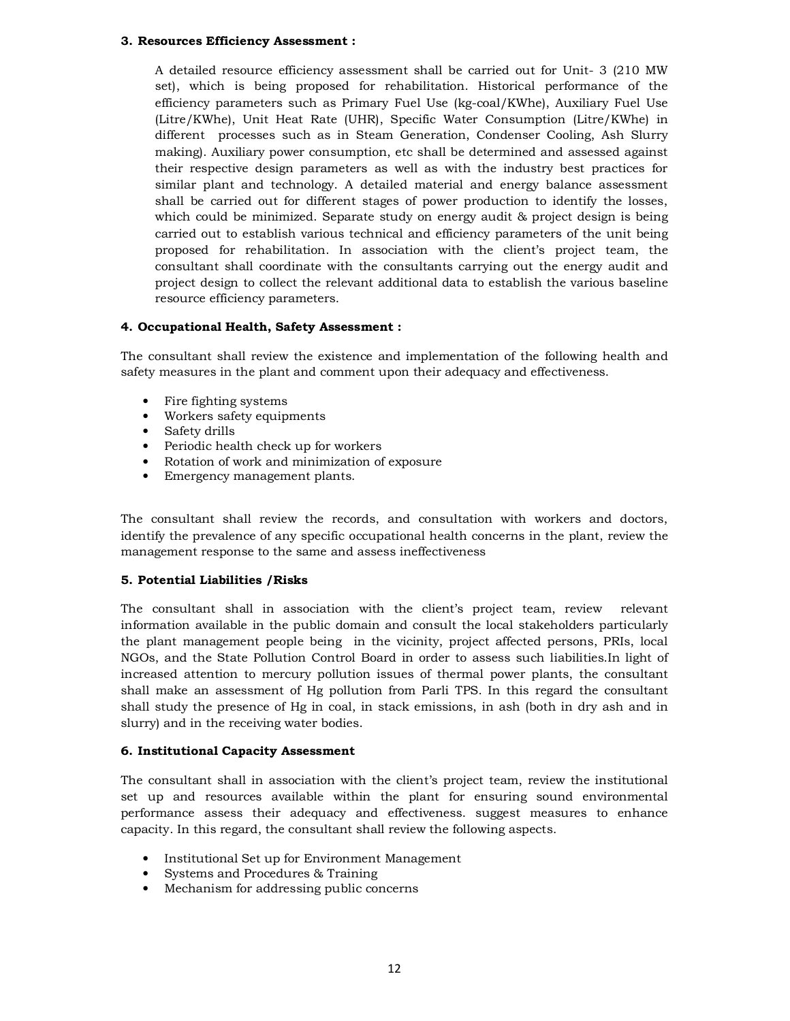#### **3. Resources Efficiency Assessment :**

A detailed resource efficiency assessment shall be carried out for Unit- 3 (210 MW set), which is being proposed for rehabilitation. Historical performance of the efficiency parameters such as Primary Fuel Use (kg-coal/KWhe), Auxiliary Fuel Use (Litre/KWhe), Unit Heat Rate (UHR), Specific Water Consumption (Litre/KWhe) in different processes such as in Steam Generation, Condenser Cooling, Ash Slurry making). Auxiliary power consumption, etc shall be determined and assessed against their respective design parameters as well as with the industry best practices for similar plant and technology. A detailed material and energy balance assessment shall be carried out for different stages of power production to identify the losses, which could be minimized. Separate study on energy audit & project design is being carried out to establish various technical and efficiency parameters of the unit being proposed for rehabilitation. In association with the client's project team, the consultant shall coordinate with the consultants carrying out the energy audit and project design to collect the relevant additional data to establish the various baseline resource efficiency parameters.

#### **4. Occupational Health, Safety Assessment :**

The consultant shall review the existence and implementation of the following health and safety measures in the plant and comment upon their adequacy and effectiveness.

- Fire fighting systems
- Workers safety equipments
- Safety drills
- Periodic health check up for workers
- Rotation of work and minimization of exposure
- Emergency management plants.

The consultant shall review the records, and consultation with workers and doctors, identify the prevalence of any specific occupational health concerns in the plant, review the management response to the same and assess ineffectiveness

## **5. Potential Liabilities /Risks**

The consultant shall in association with the client's project team, review relevant information available in the public domain and consult the local stakeholders particularly the plant management people being in the vicinity, project affected persons, PRIs, local NGOs, and the State Pollution Control Board in order to assess such liabilities.In light of increased attention to mercury pollution issues of thermal power plants, the consultant shall make an assessment of Hg pollution from Parli TPS. In this regard the consultant shall study the presence of Hg in coal, in stack emissions, in ash (both in dry ash and in slurry) and in the receiving water bodies.

#### **6. Institutional Capacity Assessment**

The consultant shall in association with the client's project team, review the institutional set up and resources available within the plant for ensuring sound environmental performance assess their adequacy and effectiveness. suggest measures to enhance capacity. In this regard, the consultant shall review the following aspects.

- Institutional Set up for Environment Management
- Systems and Procedures & Training
- Mechanism for addressing public concerns